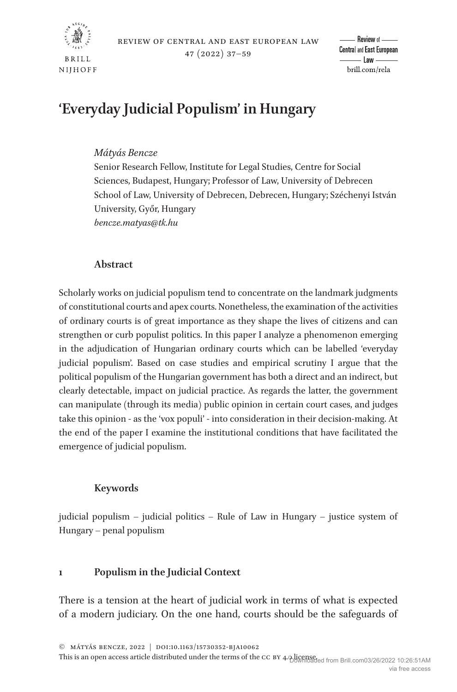

# **'Everyday Judicial Populism' in Hungary**

# *Mátyás Bencze*

Senior Research Fellow, Institute for Legal Studies, Centre for Social Sciences, Budapest, Hungary; Professor of Law, University of Debrecen School of Law, University of Debrecen, Debrecen, Hungary; Széchenyi István University, Győr, Hungary *[bencze.matyas@tk.hu](mailto:bencze.matyas@tk.hu?subject=)*

# **Abstract**

Scholarly works on judicial populism tend to concentrate on the landmark judgments of constitutional courts and apex courts. Nonetheless, the examination of the activities of ordinary courts is of great importance as they shape the lives of citizens and can strengthen or curb populist politics. In this paper I analyze a phenomenon emerging in the adjudication of Hungarian ordinary courts which can be labelled 'everyday judicial populism'. Based on case studies and empirical scrutiny I argue that the political populism of the Hungarian government has both a direct and an indirect, but clearly detectable, impact on judicial practice. As regards the latter, the government can manipulate (through its media) public opinion in certain court cases, and judges take this opinion - as the 'vox populi' - into consideration in their decision-making. At the end of the paper I examine the institutional conditions that have facilitated the emergence of judicial populism.

# **Keywords**

judicial populism – judicial politics – Rule of Law in Hungary – justice system of Hungary – penal populism

# **1 Populism in the Judicial Context**

There is a tension at the heart of judicial work in terms of what is expected of a modern judiciary. On the one hand, courts should be the safeguards of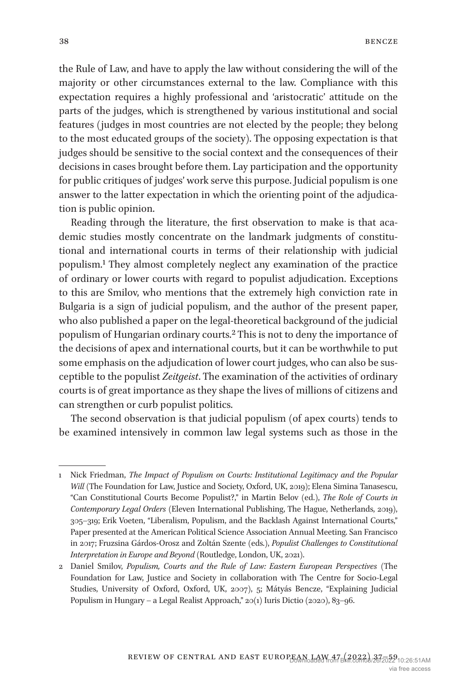the Rule of Law, and have to apply the law without considering the will of the majority or other circumstances external to the law. Compliance with this expectation requires a highly professional and 'aristocratic' attitude on the parts of the judges, which is strengthened by various institutional and social features (judges in most countries are not elected by the people; they belong to the most educated groups of the society). The opposing expectation is that judges should be sensitive to the social context and the consequences of their decisions in cases brought before them. Lay participation and the opportunity for public critiques of judges' work serve this purpose. Judicial populism is one answer to the latter expectation in which the orienting point of the adjudication is public opinion.

Reading through the literature, the first observation to make is that academic studies mostly concentrate on the landmark judgments of constitutional and international courts in terms of their relationship with judicial populism.[1](#page-1-0) They almost completely neglect any examination of the practice of ordinary or lower courts with regard to populist adjudication. Exceptions to this are Smilov, who mentions that the extremely high conviction rate in Bulgaria is a sign of judicial populism, and the author of the present paper, who also published a paper on the legal-theoretical background of the judicial populism of Hungarian ordinary courts.[2](#page-1-1) This is not to deny the importance of the decisions of apex and international courts, but it can be worthwhile to put some emphasis on the adjudication of lower court judges, who can also be susceptible to the populist *Zeitgeist*. The examination of the activities of ordinary courts is of great importance as they shape the lives of millions of citizens and can strengthen or curb populist politics.

The second observation is that judicial populism (of apex courts) tends to be examined intensively in common law legal systems such as those in the

<span id="page-1-0"></span><sup>1</sup> Nick Friedman, *The Impact of Populism on Courts: Institutional Legitimacy and the Popular Will* (The Foundation for Law, Justice and Society, Oxford, UK, 2019); Elena Simina Tanasescu, "Can Constitutional Courts Become Populist?," in Martin Belov (ed.), *The Role of Courts in Contemporary Legal Orders* (Eleven International Publishing, The Hague, Netherlands, 2019), 305–319; Erik Voeten, "Liberalism, Populism, and the Backlash Against International Courts," Paper presented at the American Political Science Association Annual Meeting. San Francisco in 2017; Fruzsina Gárdos-Orosz and Zoltán Szente (eds.), *Populist Challenges to Constitutional Interpretation in Europe and Beyond* (Routledge, London, UK, 2021).

<span id="page-1-1"></span><sup>2</sup> Daniel Smilov, *Populism, Courts and the Rule of Law: Eastern European Perspectives* (The Foundation for Law, Justice and Society in collaboration with The Centre for Socio-Legal Studies, University of Oxford, Oxford, UK, 2007), 5; Mátyás Bencze, "Explaining Judicial Populism in Hungary – a Legal Realist Approach," 20(1) Iuris Dictio (2020), 83–96.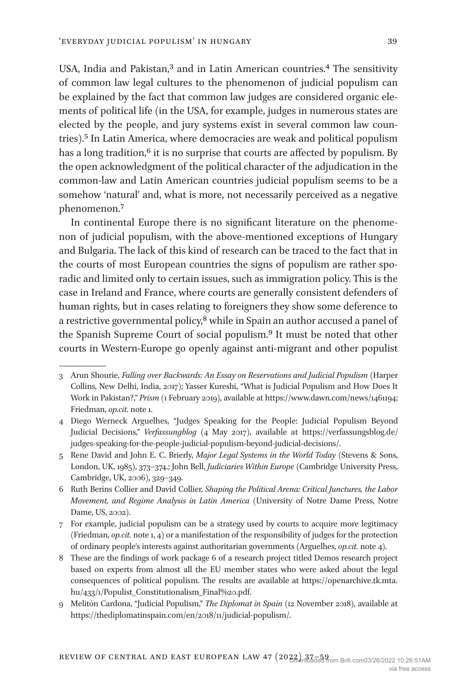USA, India and Pakistan,<sup>3</sup> and in Latin American countries.<sup>4</sup> The sensitivity of common law legal cultures to the phenomenon of judicial populism can be explained by the fact that common law judges are considered organic elements of political life (in the USA, for example, judges in numerous states are elected by the people, and jury systems exist in several common law countries).[5](#page-2-2) In Latin America, where democracies are weak and political populism has a long tradition,<sup>6</sup> it is no surprise that courts are affected by populism. By the open acknowledgment of the political character of the adjudication in the common-law and Latin American countries judicial populism seems to be a somehow 'natural' and, what is more, not necessarily perceived as a negative phenomenon.[7](#page-2-4)

In continental Europe there is no significant literature on the phenomenon of judicial populism, with the above-mentioned exceptions of Hungary and Bulgaria. The lack of this kind of research can be traced to the fact that in the courts of most European countries the signs of populism are rather sporadic and limited only to certain issues, such as immigration policy. This is the case in Ireland and France, where courts are generally consistent defenders of human rights, but in cases relating to foreigners they show some deference to a restrictive governmental policy,<sup>8</sup> while in Spain an author accused a panel of the Spanish Supreme Court of social populism[.9](#page-2-6) It must be noted that other courts in Western-Europe go openly against anti-migrant and other populist

<span id="page-2-6"></span>9 Melitón Cardona, "Judicial Populism," *The Diplomat in Spain* (12 November 2018), available at <https://thediplomatinspain.com/en/2018/11/judicial-populism/>.

<span id="page-2-0"></span><sup>3</sup> Arun Shourie, *Falling over Backwards: An Essay on Reservations and Judicial Populism* (Harper Collins, New Delhi, India, 2017); Yasser Kureshi, "What is Judicial Populism and How Does It Work in Pakistan?," *Prism* (1 February 2019), available at<https://www.dawn.com/news/1461194;> Friedman, *op.cit.* note 1.

<span id="page-2-1"></span><sup>4</sup> Diego Werneck Arguelhes, "Judges Speaking for the People: Judicial Populism Beyond Judicial Decisions," *Verfassungblog* (4 May 2017), available at [https://verfassungsblog.de/](https://verfassungsblog.de/judges-speaking-for-the-people-judicial-populism-beyond-judicial-decisions/) [judges-speaking-for-the-people-judicial-populism-beyond-judicial-decisions/](https://verfassungsblog.de/judges-speaking-for-the-people-judicial-populism-beyond-judicial-decisions/).

<span id="page-2-2"></span><sup>5</sup> Rene David and John E. C. Brierly, *Major Legal Systems in the World Today* (Stevens & Sons, London, UK, 1985), 373–374.; John Bell, *Judiciaries Within Europe* (Cambridge University Press, Cambridge, UK, 2006), 329–349.

<span id="page-2-3"></span><sup>6</sup> Ruth Berins Collier and David Collier, *Shaping the Political Arena: Critical Junctures, the Labor Movement, and Regime Analysis in Latin America* (University of Notre Dame Press, Notre Dame, US, 2002).

<span id="page-2-4"></span><sup>7</sup> For example, judicial populism can be a strategy used by courts to acquire more legitimacy (Friedman, *op.cit.* note 1, 4) or a manifestation of the responsibility of judges for the protection of ordinary people's interests against authoritarian governments (Arguelhes, *op.cit.* note 4).

<span id="page-2-5"></span><sup>8</sup> These are the findings of work package 6 of a research project titled Demos research project based on experts from almost all the EU member states who were asked about the legal consequences of political populism. The results are available at [https://openarchive.tk.mta.](https://openarchive.tk.mta.hu/433/1/Populist_Constitutionalism_Final%20.pdf) [hu/433/1/Populist\\_Constitutionalism\\_Final%20.pdf](https://openarchive.tk.mta.hu/433/1/Populist_Constitutionalism_Final%20.pdf).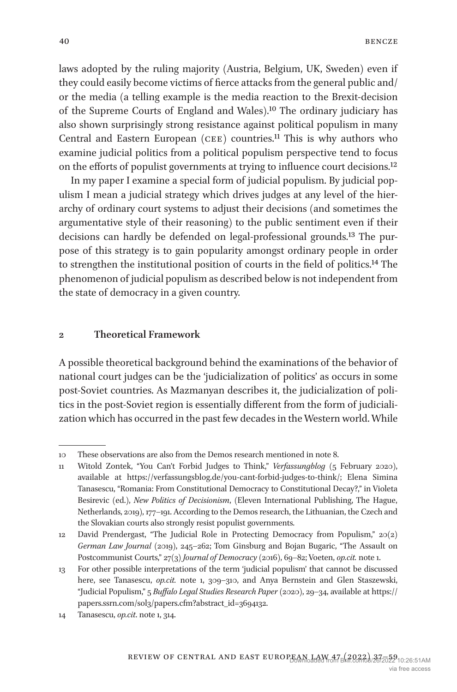laws adopted by the ruling majority (Austria, Belgium, UK, Sweden) even if they could easily become victims of fierce attacks from the general public and/ or the media (a telling example is the media reaction to the Brexit-decision of the Supreme Courts of England and Wales).[10](#page-3-0) The ordinary judiciary has also shown surprisingly strong resistance against political populism in many Central and Eastern European (CEE) countries.<sup>[11](#page-3-1)</sup> This is why authors who examine judicial politics from a political populism perspective tend to focus on the efforts of populist governments at trying to influence court decisions.[12](#page-3-2)

In my paper I examine a special form of judicial populism. By judicial populism I mean a judicial strategy which drives judges at any level of the hierarchy of ordinary court systems to adjust their decisions (and sometimes the argumentative style of their reasoning) to the public sentiment even if their decisions can hardly be defended on legal-professional grounds[.13](#page-3-3) The purpose of this strategy is to gain popularity amongst ordinary people in order to strengthen the institutional position of courts in the field of politics[.14](#page-3-4) The phenomenon of judicial populism as described below is not independent from the state of democracy in a given country.

#### **2 Theoretical Framework**

A possible theoretical background behind the examinations of the behavior of national court judges can be the 'judicialization of politics' as occurs in some post-Soviet countries. As Mazmanyan describes it, the judicialization of politics in the post-Soviet region is essentially different from the form of judicialization which has occurred in the past few decades in the Western world. While

<span id="page-3-0"></span><sup>10</sup> These observations are also from the Demos research mentioned in note 8.

<span id="page-3-1"></span><sup>11</sup> Witold Zontek, "You Can't Forbid Judges to Think," *Verfassungblog* (5 February 2020), available at <https://verfassungsblog.de/you-cant-forbid-judges-to-think/>; Elena Simina Tanasescu, "Romania: From Constitutional Democracy to Constitutional Decay?," in Violeta Besirevic (ed.), *New Politics of Decisionism*, (Eleven International Publishing, The Hague, Netherlands, 2019), 177–191. According to the Demos research, the Lithuanian, the Czech and the Slovakian courts also strongly resist populist governments.

<span id="page-3-2"></span><sup>12</sup> David Prendergast, "The Judicial Role in Protecting Democracy from Populism," 20(2) *German Law Journal* (2019), 245–262; Tom Ginsburg and Bojan Bugaric, "The Assault on Postcommunist Courts," 27(3) *Journal of Democracy* (2016), 69–82; Voeten, *op.cit.* note 1.

<span id="page-3-3"></span><sup>13</sup> For other possible interpretations of the term 'judicial populism' that cannot be discussed here, see Tanasescu, *op.cit.* note 1, 309–310, and Anya Bernstein and Glen Staszewski, "Judicial Populism," 5 *Buffalo Legal Studies Research Paper* (2020), 29–34, available at [https://](https://papers.ssrn.com/sol3/papers.cfm?abstract_id=3694132) [papers.ssrn.com/sol3/papers.cfm?abstract\\_id=3694132](https://papers.ssrn.com/sol3/papers.cfm?abstract_id=3694132).

<span id="page-3-4"></span><sup>14</sup> Tanasescu, *op.cit*. note 1, 314.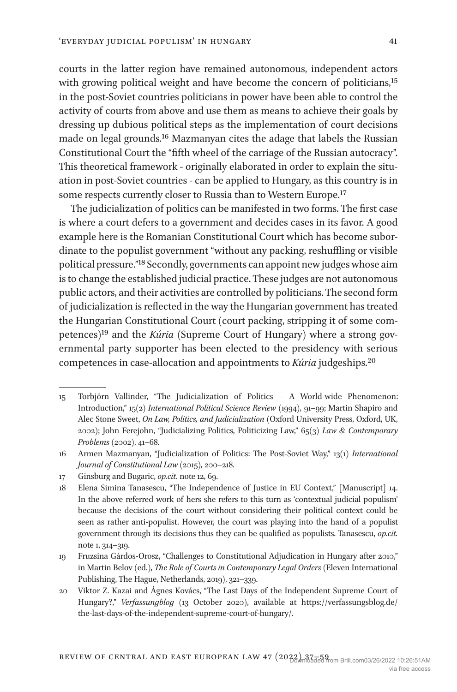courts in the latter region have remained autonomous, independent actors with growing political weight and have become the concern of politicians,<sup>15</sup> in the post-Soviet countries politicians in power have been able to control the activity of courts from above and use them as means to achieve their goals by dressing up dubious political steps as the implementation of court decisions made on legal grounds.[16](#page-4-1) Mazmanyan cites the adage that labels the Russian Constitutional Court the "fifth wheel of the carriage of the Russian autocracy". This theoretical framework - originally elaborated in order to explain the situation in post-Soviet countries - can be applied to Hungary, as this country is in some respects currently closer to Russia than to Western Europe[.17](#page-4-2)

The judicialization of politics can be manifested in two forms. The first case is where a court defers to a government and decides cases in its favor. A good example here is the Romanian Constitutional Court which has become subordinate to the populist government "without any packing, reshuffling or visible political pressure.["18](#page-4-3) Secondly, governments can appoint new judges whose aim is to change the established judicial practice. These judges are not autonomous public actors, and their activities are controlled by politicians. The second form of judicialization is reflected in the way the Hungarian government has treated the Hungarian Constitutional Court (court packing, stripping it of some competences)[19](#page-4-4) and the *Kúria* (Supreme Court of Hungary) where a strong governmental party supporter has been elected to the presidency with serious competences in case-allocation and appointments to *Kúria* judgeships.[20](#page-4-5)

<span id="page-4-0"></span><sup>15</sup> Torbjörn Vallinder, "The Judicialization of Politics – A World-wide Phenomenon: Introduction," 15(2) *International Political Science Review* (1994), 91–99; Martin Shapiro and Alec Stone Sweet, *On Law, Politics, and Judicialization* (Oxford University Press, Oxford, UK, 2002); John Ferejohn, "Judicializing Politics, Politicizing Law," 65(3) *Law & Contemporary Problems* (2002), 41–68.

<span id="page-4-1"></span><sup>16</sup> Armen Mazmanyan, "Judicialization of Politics: The Post-Soviet Way," 13(1) *International Journal of Constitutional Law* (2015), 200–218.

<span id="page-4-2"></span><sup>17</sup> Ginsburg and Bugaric, *op.cit.* note 12, 69.

<span id="page-4-3"></span><sup>18</sup> Elena Simina Tanasescu, "The Independence of Justice in EU Context," [Manuscript] 14. In the above referred work of hers she refers to this turn as 'contextual judicial populism' because the decisions of the court without considering their political context could be seen as rather anti-populist. However, the court was playing into the hand of a populist government through its decisions thus they can be qualified as populists. Tanasescu, *op.cit.* note 1, 314–319.

<span id="page-4-4"></span><sup>19</sup> Fruzsina Gárdos-Orosz, "Challenges to Constitutional Adjudication in Hungary after 2010," in Martin Belov (ed.), *The Role of Courts in Contemporary Legal Orders* (Eleven International Publishing, The Hague, Netherlands, 2019), 321–339.

<span id="page-4-5"></span><sup>20</sup> Viktor Z. Kazai and Ágnes Kovács, "The Last Days of the Independent Supreme Court of Hungary?," *Verfassungblog* (13 October 2020), available at [https://verfassungsblog.de/](https://verfassungsblog.de/the-last-days-of-the-independent-supreme-court-of-hungary/) [the-last-days-of-the-independent-supreme-court-of-hungary/](https://verfassungsblog.de/the-last-days-of-the-independent-supreme-court-of-hungary/).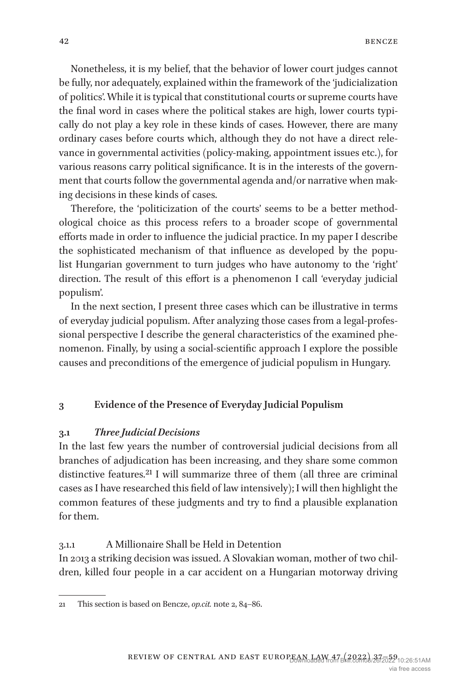Nonetheless, it is my belief, that the behavior of lower court judges cannot be fully, nor adequately, explained within the framework of the 'judicialization of politics'. While it is typical that constitutional courts or supreme courts have the final word in cases where the political stakes are high, lower courts typically do not play a key role in these kinds of cases. However, there are many ordinary cases before courts which, although they do not have a direct relevance in governmental activities (policy-making, appointment issues etc.), for various reasons carry political significance. It is in the interests of the government that courts follow the governmental agenda and/or narrative when making decisions in these kinds of cases.

Therefore, the 'politicization of the courts' seems to be a better methodological choice as this process refers to a broader scope of governmental efforts made in order to influence the judicial practice. In my paper I describe the sophisticated mechanism of that influence as developed by the populist Hungarian government to turn judges who have autonomy to the 'right' direction. The result of this effort is a phenomenon I call 'everyday judicial populism'.

In the next section, I present three cases which can be illustrative in terms of everyday judicial populism. After analyzing those cases from a legal-professional perspective I describe the general characteristics of the examined phenomenon. Finally, by using a social-scientific approach I explore the possible causes and preconditions of the emergence of judicial populism in Hungary.

## **3 Evidence of the Presence of Everyday Judicial Populism**

#### **3.1** *Three Judicial Decisions*

In the last few years the number of controversial judicial decisions from all branches of adjudication has been increasing, and they share some common distinctive features.<sup>[21](#page-5-0)</sup> I will summarize three of them (all three are criminal cases as I have researched this field of law intensively); I will then highlight the common features of these judgments and try to find a plausible explanation for them.

#### 3.1.1 A Millionaire Shall be Held in Detention

In 2013 a striking decision was issued. A Slovakian woman, mother of two children, killed four people in a car accident on a Hungarian motorway driving

<span id="page-5-0"></span><sup>21</sup> This section is based on Bencze, *op.cit.* note 2, 84–86.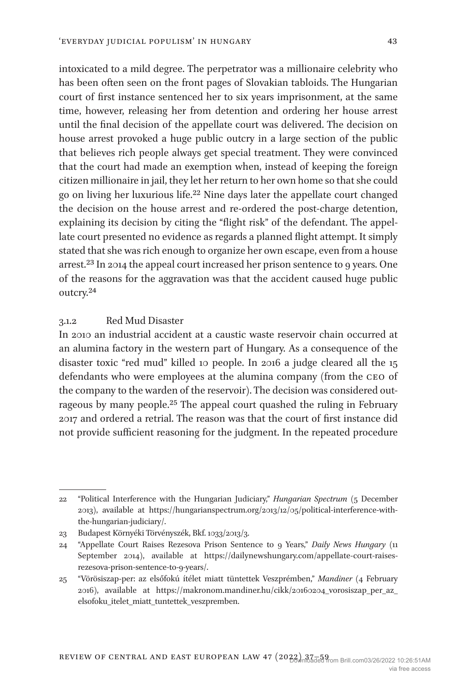intoxicated to a mild degree. The perpetrator was a millionaire celebrity who has been often seen on the front pages of Slovakian tabloids. The Hungarian court of first instance sentenced her to six years imprisonment, at the same time, however, releasing her from detention and ordering her house arrest until the final decision of the appellate court was delivered. The decision on house arrest provoked a huge public outcry in a large section of the public that believes rich people always get special treatment. They were convinced that the court had made an exemption when, instead of keeping the foreign citizen millionaire in jail, they let her return to her own home so that she could go on living her luxurious life[.22](#page-6-0) Nine days later the appellate court changed the decision on the house arrest and re-ordered the post-charge detention, explaining its decision by citing the "flight risk" of the defendant. The appellate court presented no evidence as regards a planned flight attempt. It simply stated that she was rich enough to organize her own escape, even from a house arrest.[23](#page-6-1) In 2014 the appeal court increased her prison sentence to 9 years. One of the reasons for the aggravation was that the accident caused huge public outcry[.24](#page-6-2)

## 3.1.2 Red Mud Disaster

In 2010 an industrial accident at a caustic waste reservoir chain occurred at an alumina factory in the western part of Hungary. As a consequence of the disaster toxic "red mud" killed 10 people. In 2016 a judge cleared all the 15 defendants who were employees at the alumina company (from the ceo of the company to the warden of the reservoir). The decision was considered outrageous by many people.<sup>25</sup> The appeal court quashed the ruling in February 2017 and ordered a retrial. The reason was that the court of first instance did not provide sufficient reasoning for the judgment. In the repeated procedure

<span id="page-6-0"></span><sup>22</sup> "Political Interference with the Hungarian Judiciary," *Hungarian Spectrum* (5 December 2013), available at [https://hungarianspectrum.org/2013/12/05/political-interference-with](https://hungarianspectrum.org/2013/12/05/political-interference-with-the-hungarian-judiciary/)[the-hungarian-judiciary/](https://hungarianspectrum.org/2013/12/05/political-interference-with-the-hungarian-judiciary/).

<span id="page-6-1"></span><sup>23</sup> Budapest Környéki Törvényszék, Bkf. 1033/2013/3.

<span id="page-6-2"></span><sup>24</sup> "Appellate Court Raises Rezesova Prison Sentence to 9 Years," *Daily News Hungary* (11 September 2014), available at [https://dailynewshungary.com/appellate-court-raises](https://dailynewshungary.com/appellate-court-raises-rezesova-prison-sentence-to-9-years/)[rezesova-prison-sentence-to-9-years/.](https://dailynewshungary.com/appellate-court-raises-rezesova-prison-sentence-to-9-years/)

<span id="page-6-3"></span><sup>25</sup> "Vörösiszap-per: az elsőfokú ítélet miatt tüntettek Veszprémben," *Mandiner* (4 February 2016), available at [https://makronom.mandiner.hu/cikk/20160204\\_vorosiszap\\_per\\_az\\_](https://makronom.mandiner.hu/cikk/20160204_vorosiszap_per_az_elsofoku_itelet_miatt_tuntettek_veszpremben) [elsofoku\\_itelet\\_miatt\\_tuntettek\\_veszpremben.](https://makronom.mandiner.hu/cikk/20160204_vorosiszap_per_az_elsofoku_itelet_miatt_tuntettek_veszpremben)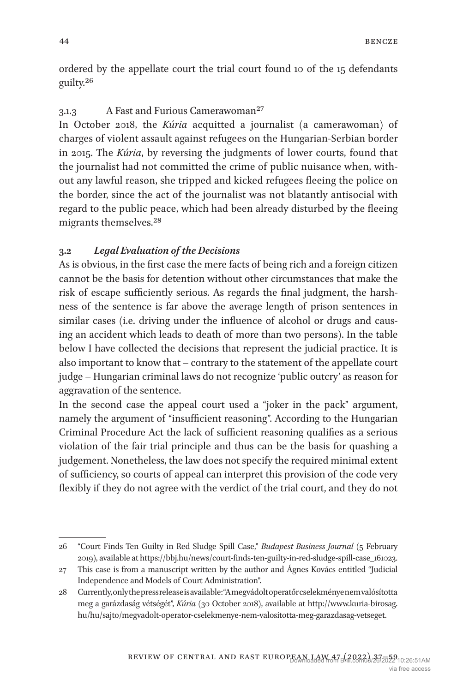ordered by the appellate court the trial court found 10 of the 15 defendants guilty.[26](#page-7-0)

## 3.1.3 A Fast and Furious Camerawoman[27](#page-7-1)

In October 2018, the *Kúria* acquitted a journalist (a camerawoman) of charges of violent assault against refugees on the Hungarian-Serbian border in 2015. The *Kúria*, by reversing the judgments of lower courts, found that the journalist had not committed the crime of public nuisance when, without any lawful reason, she tripped and kicked refugees fleeing the police on the border, since the act of the journalist was not blatantly antisocial with regard to the public peace, which had been already disturbed by the fleeing migrants themselves[.28](#page-7-2)

## **3.2** *Legal Evaluation of the Decisions*

As is obvious, in the first case the mere facts of being rich and a foreign citizen cannot be the basis for detention without other circumstances that make the risk of escape sufficiently serious. As regards the final judgment, the harshness of the sentence is far above the average length of prison sentences in similar cases (i.e. driving under the influence of alcohol or drugs and causing an accident which leads to death of more than two persons). In the table below I have collected the decisions that represent the judicial practice. It is also important to know that – contrary to the statement of the appellate court judge – Hungarian criminal laws do not recognize 'public outcry' as reason for aggravation of the sentence.

In the second case the appeal court used a "joker in the pack" argument, namely the argument of "insufficient reasoning". According to the Hungarian Criminal Procedure Act the lack of sufficient reasoning qualifies as a serious violation of the fair trial principle and thus can be the basis for quashing a judgement. Nonetheless, the law does not specify the required minimal extent of sufficiency, so courts of appeal can interpret this provision of the code very flexibly if they do not agree with the verdict of the trial court, and they do not

<span id="page-7-0"></span><sup>26</sup> "Court Finds Ten Guilty in Red Sludge Spill Case," *Budapest Business Journal* (5 February 2019), available at [https://bbj.hu/news/court-finds-ten-guilty-in-red-sludge-spill-case\\_161023.](https://bbj.hu/news/court-finds-ten-guilty-in-red-sludge-spill-case_161023)

<span id="page-7-1"></span><sup>27</sup> This case is from a manuscript written by the author and Ágnes Kovács entitled "Judicial Independence and Models of Court Administration".

<span id="page-7-2"></span><sup>28</sup> Currently, only the press release is available: "A megvádolt operatőr cselekménye nem valósította meg a garázdaság vétségét", *Kúria* (30 October 2018), available at [http://www.kuria-birosag.](http://www.kuria-birosag.hu/hu/sajto/megvadolt-operator-cselekmenye-nem-valositotta-meg-garazdasag-vetseget) [hu/hu/sajto/megvadolt-operator-cselekmenye-nem-valositotta-meg-garazdasag-vetseget](http://www.kuria-birosag.hu/hu/sajto/megvadolt-operator-cselekmenye-nem-valositotta-meg-garazdasag-vetseget).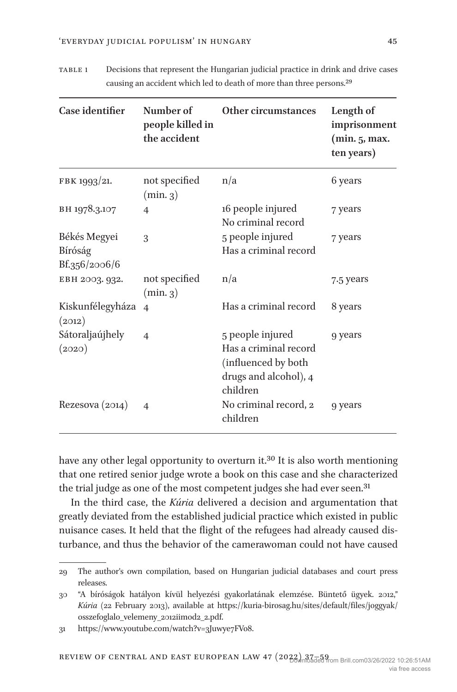| Case identifier                          | Number of<br>people killed in<br>the accident | Other circumstances                                                                                   | Length of<br>imprisonment<br>(min. 5, max.<br>ten years) |
|------------------------------------------|-----------------------------------------------|-------------------------------------------------------------------------------------------------------|----------------------------------------------------------|
| FBK 1993/21.                             | not specified<br>(min 3)                      | n/a                                                                                                   | 6 years                                                  |
| BH 1978.3.107                            | $\overline{4}$                                | 16 people injured<br>No criminal record                                                               | 7 years                                                  |
| Békés Megyei<br>Bíróság<br>Bf.356/2006/6 | 3                                             | 5 people injured<br>Has a criminal record                                                             | 7 years                                                  |
| EBH 2003. 932.                           | not specified<br>(min 3)                      | n/a                                                                                                   | 7.5 years                                                |
| Kiskunfélegyháza<br>(2012)               | $\overline{4}$                                | Has a criminal record                                                                                 | 8 years                                                  |
| Sátoraljaújhely<br>(2020)                | $\overline{4}$                                | 5 people injured<br>Has a criminal record<br>(influenced by both<br>drugs and alcohol), 4<br>children | 9 years                                                  |
| Rezesova $(2014)$                        | $\overline{4}$                                | No criminal record, 2<br>children                                                                     | 9 years                                                  |

table 1 Decisions that represent the Hungarian judicial practice in drink and drive cases causing an accident which led to death of more than three persons[.29](#page-8-2)

have any other legal opportunity to overturn it.<sup>30</sup> It is also worth mentioning that one retired senior judge wrote a book on this case and she characterized the trial judge as one of the most competent judges she had ever seen.<sup>[31](#page-8-1)</sup>

In the third case, the *Kúria* delivered a decision and argumentation that greatly deviated from the established judicial practice which existed in public nuisance cases. It held that the flight of the refugees had already caused disturbance, and thus the behavior of the camerawoman could not have caused

<span id="page-8-2"></span><sup>29</sup> The author's own compilation, based on Hungarian judicial databases and court press releases.

<span id="page-8-0"></span><sup>30</sup> "A bíróságok hatályon kívül helyezési gyakorlatának elemzése. Büntető ügyek. 2012," *Kúria* (22 February 2013), available at [https://kuria-birosag.hu/sites/default/files/joggyak/](https://kuria-birosag.hu/sites/default/files/joggyak/osszefoglalo_velemeny_2012iimod2_2.pdf) [osszefoglalo\\_velemeny\\_2012iimod2\\_2.pdf](https://kuria-birosag.hu/sites/default/files/joggyak/osszefoglalo_velemeny_2012iimod2_2.pdf).

<span id="page-8-1"></span><sup>31</sup> <https://www.youtube.com/watch?v=3Juwye7FVo8>.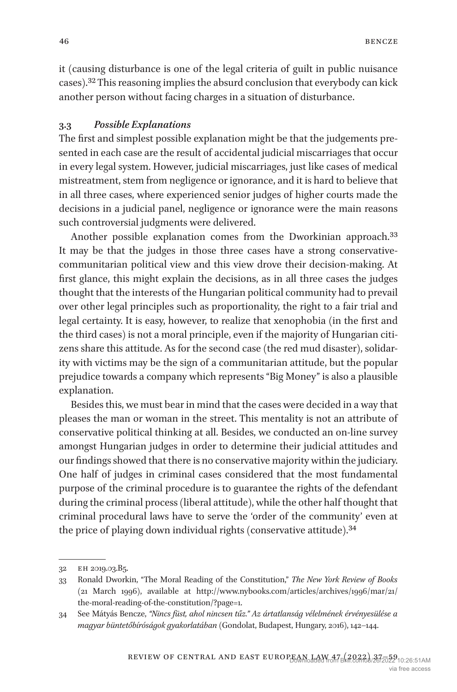it (causing disturbance is one of the legal criteria of guilt in public nuisance cases).[32](#page-9-0) This reasoning implies the absurd conclusion that everybody can kick another person without facing charges in a situation of disturbance.

## **3.3** *Possible Explanations*

The first and simplest possible explanation might be that the judgements presented in each case are the result of accidental judicial miscarriages that occur in every legal system. However, judicial miscarriages, just like cases of medical mistreatment, stem from negligence or ignorance, and it is hard to believe that in all three cases, where experienced senior judges of higher courts made the decisions in a judicial panel, negligence or ignorance were the main reasons such controversial judgments were delivered.

Another possible explanation comes from the Dworkinian approach.<sup>[33](#page-9-1)</sup> It may be that the judges in those three cases have a strong conservativecommunitarian political view and this view drove their decision-making. At first glance, this might explain the decisions, as in all three cases the judges thought that the interests of the Hungarian political community had to prevail over other legal principles such as proportionality, the right to a fair trial and legal certainty. It is easy, however, to realize that xenophobia (in the first and the third cases) is not a moral principle, even if the majority of Hungarian citizens share this attitude. As for the second case (the red mud disaster), solidarity with victims may be the sign of a communitarian attitude, but the popular prejudice towards a company which represents "Big Money" is also a plausible explanation.

Besides this, we must bear in mind that the cases were decided in a way that pleases the man or woman in the street. This mentality is not an attribute of conservative political thinking at all. Besides, we conducted an on-line survey amongst Hungarian judges in order to determine their judicial attitudes and our findings showed that there is no conservative majority within the judiciary. One half of judges in criminal cases considered that the most fundamental purpose of the criminal procedure is to guarantee the rights of the defendant during the criminal process (liberal attitude), while the other half thought that criminal procedural laws have to serve the 'order of the community' even at the price of playing down individual rights (conservative attitude).<sup>34</sup>

<span id="page-9-0"></span><sup>32</sup> eh 2019.03.B5.

<span id="page-9-1"></span><sup>33</sup> Ronald Dworkin, "The Moral Reading of the Constitution," *The New York Review of Books* (21 March 1996), available at [http://www.nybooks.com/articles/archives/1996/mar/21/](http://www.nybooks.com/articles/archives/1996/mar/21/the-moral-reading-of-the-constitution/?page=1) [the-moral-reading-of-the-constitution/?page=1](http://www.nybooks.com/articles/archives/1996/mar/21/the-moral-reading-of-the-constitution/?page=1).

<span id="page-9-2"></span><sup>34</sup> See Mátyás Bencze, *"Nincs füst, ahol nincsen tűz." Az ártatlanság vélelmének érvényesülése a magyar büntetőbíróságok gyakorlatában* (Gondolat, Budapest, Hungary, 2016), 142–144.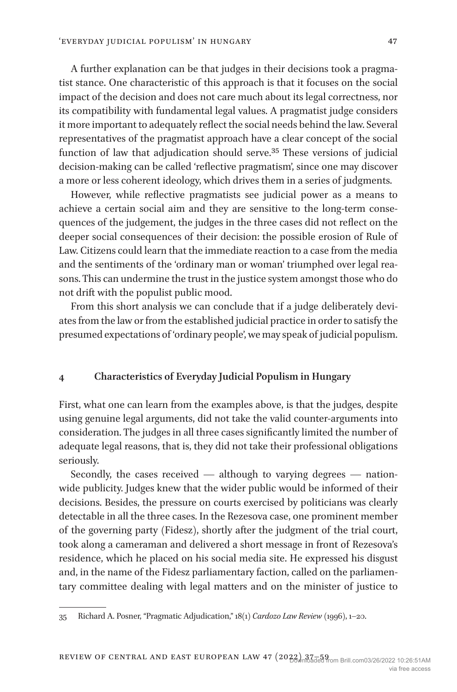A further explanation can be that judges in their decisions took a pragmatist stance. One characteristic of this approach is that it focuses on the social impact of the decision and does not care much about its legal correctness, nor its compatibility with fundamental legal values. A pragmatist judge considers it more important to adequately reflect the social needs behind the law. Several representatives of the pragmatist approach have a clear concept of the social function of law that adjudication should serve[.35](#page-10-0) These versions of judicial decision-making can be called 'reflective pragmatism', since one may discover a more or less coherent ideology, which drives them in a series of judgments.

However, while reflective pragmatists see judicial power as a means to achieve a certain social aim and they are sensitive to the long-term consequences of the judgement, the judges in the three cases did not reflect on the deeper social consequences of their decision: the possible erosion of Rule of Law. Citizens could learn that the immediate reaction to a case from the media and the sentiments of the 'ordinary man or woman' triumphed over legal reasons. This can undermine the trust in the justice system amongst those who do not drift with the populist public mood.

From this short analysis we can conclude that if a judge deliberately deviates from the law or from the established judicial practice in order to satisfy the presumed expectations of 'ordinary people', we may speak of judicial populism.

#### **4 Characteristics of Everyday Judicial Populism in Hungary**

First, what one can learn from the examples above, is that the judges, despite using genuine legal arguments, did not take the valid counter-arguments into consideration. The judges in all three cases significantly limited the number of adequate legal reasons, that is, they did not take their professional obligations seriously.

Secondly, the cases received — although to varying degrees — nationwide publicity. Judges knew that the wider public would be informed of their decisions. Besides, the pressure on courts exercised by politicians was clearly detectable in all the three cases. In the Rezesova case, one prominent member of the governing party (Fidesz), shortly after the judgment of the trial court, took along a cameraman and delivered a short message in front of Rezesova's residence, which he placed on his social media site. He expressed his disgust and, in the name of the Fidesz parliamentary faction, called on the parliamentary committee dealing with legal matters and on the minister of justice to

<span id="page-10-0"></span><sup>35</sup> Richard A. Posner, "Pragmatic Adjudication," 18(1) *Cardozo Law Review* (1996), 1–20.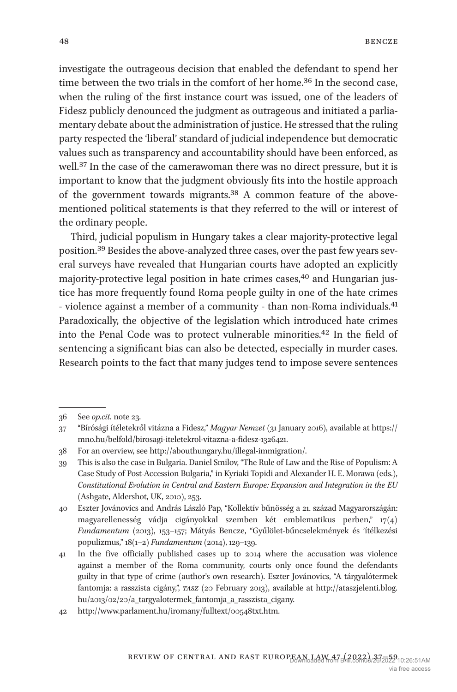investigate the outrageous decision that enabled the defendant to spend her time between the two trials in the comfort of her home[.36](#page-11-0) In the second case, when the ruling of the first instance court was issued, one of the leaders of Fidesz publicly denounced the judgment as outrageous and initiated a parliamentary debate about the administration of justice. He stressed that the ruling party respected the 'liberal' standard of judicial independence but democratic values such as transparency and accountability should have been enforced, as well[.37](#page-11-1) In the case of the camerawoman there was no direct pressure, but it is important to know that the judgment obviously fits into the hostile approach of the government towards migrants.[38](#page-11-2) A common feature of the abovementioned political statements is that they referred to the will or interest of the ordinary people.

Third, judicial populism in Hungary takes a clear majority-protective legal position.[39](#page-11-3) Besides the above-analyzed three cases, over the past few years several surveys have revealed that Hungarian courts have adopted an explicitly majority-protective legal position in hate crimes cases,<sup>40</sup> and Hungarian justice has more frequently found Roma people guilty in one of the hate crimes - violence against a member of a community - than non-Roma individuals.<sup>41</sup> Paradoxically, the objective of the legislation which introduced hate crimes into the Penal Code was to protect vulnerable minorities[.42](#page-11-6) In the field of sentencing a significant bias can also be detected, especially in murder cases. Research points to the fact that many judges tend to impose severe sentences

<span id="page-11-0"></span><sup>36</sup> See *op.cit.* note 23.

<span id="page-11-1"></span><sup>37</sup> "Bírósági ítéletekről vitázna a Fidesz," *Magyar Nemzet* (31 January 2016), available at [https://](https://mno.hu/belfold/birosagi-iteletekrol-vitazna-a-fidesz-1326421) [mno.hu/belfold/birosagi-iteletekrol-vitazna-a-fidesz-1326421](https://mno.hu/belfold/birosagi-iteletekrol-vitazna-a-fidesz-1326421).

<span id="page-11-2"></span><sup>38</sup> For an overview, see [http://abouthungary.hu/illegal-immigration/.](http://abouthungary.hu/illegal-immigration/)

<span id="page-11-3"></span><sup>39</sup> This is also the case in Bulgaria. Daniel Smilov, "The Rule of Law and the Rise of Populism: A Case Study of Post-Accession Bulgaria," in Kyriaki Topidi and Alexander H. E. Morawa (eds.), *Constitutional Evolution in Central and Eastern Europe: Expansion and Integration in the EU* (Ashgate, Aldershot, UK, 2010), 253.

<span id="page-11-4"></span><sup>40</sup> Eszter Jovánovics and András László Pap, "Kollektív bűnösség a 21. század Magyarországán: magyarellenesség vádja cigányokkal szemben két emblematikus perben," 17(4) *Fundamentum* (2013), 153–157; Mátyás Bencze, "Gyűlölet-bűncselekmények és 'ítélkezési populizmus," 18(1–2) *Fundamentum* (2014), 129–139.

<span id="page-11-5"></span><sup>41</sup> In the five officially published cases up to 2014 where the accusation was violence against a member of the Roma community, courts only once found the defendants guilty in that type of crime (author's own research). Eszter Jovánovics, "A tárgyalótermek fantomja: a rasszista cigány,", *tasz* (20 February 2013), available at [http://ataszjelenti.blog.](http://ataszjelenti.blog.hu/2013/02/20/a_targyalotermek_fantomja_a_rasszista_cigany) [hu/2013/02/20/a\\_targyalotermek\\_fantomja\\_a\\_rasszista\\_cigany.](http://ataszjelenti.blog.hu/2013/02/20/a_targyalotermek_fantomja_a_rasszista_cigany)

<span id="page-11-6"></span><sup>42</sup> <http://www.parlament.hu/iromany/fulltext/00548txt.htm>.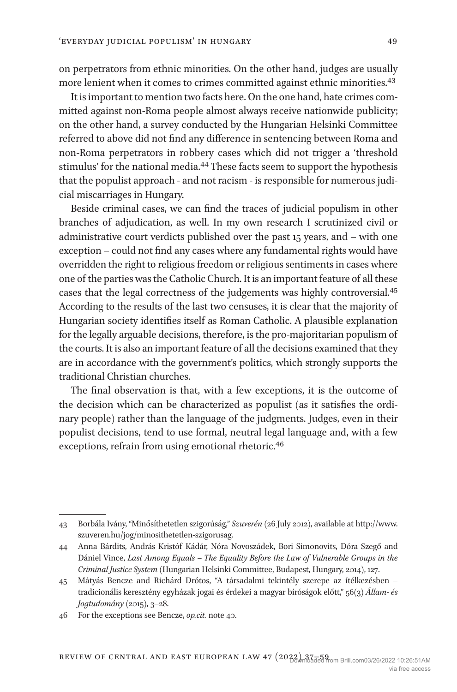on perpetrators from ethnic minorities. On the other hand, judges are usually more lenient when it comes to crimes committed against ethnic minorities.[43](#page-12-0)

It is important to mention two facts here. On the one hand, hate crimes committed against non-Roma people almost always receive nationwide publicity; on the other hand, a survey conducted by the Hungarian Helsinki Committee referred to above did not find any difference in sentencing between Roma and non-Roma perpetrators in robbery cases which did not trigger a 'threshold stimulus' for the national media.[44](#page-12-1) These facts seem to support the hypothesis that the populist approach - and not racism - is responsible for numerous judicial miscarriages in Hungary.

Beside criminal cases, we can find the traces of judicial populism in other branches of adjudication, as well. In my own research I scrutinized civil or administrative court verdicts published over the past 15 years, and – with one exception – could not find any cases where any fundamental rights would have overridden the right to religious freedom or religious sentiments in cases where one of the parties was the Catholic Church. It is an important feature of all these cases that the legal correctness of the judgements was highly controversial[.45](#page-12-2) According to the results of the last two censuses, it is clear that the majority of Hungarian society identifies itself as Roman Catholic. A plausible explanation for the legally arguable decisions, therefore, is the pro-majoritarian populism of the courts. It is also an important feature of all the decisions examined that they are in accordance with the government's politics, which strongly supports the traditional Christian churches.

The final observation is that, with a few exceptions, it is the outcome of the decision which can be characterized as populist (as it satisfies the ordinary people) rather than the language of the judgments. Judges, even in their populist decisions, tend to use formal, neutral legal language and, with a few exceptions, refrain from using emotional rhetoric[.46](#page-12-3)

<span id="page-12-0"></span><sup>43</sup> Borbála Ivány, "Minősíthetetlen szigorúság," *Szuverén* (26 July 2012), available at [http://www.](http://www.szuveren.hu/jog/minosithetetlen-szigorusag) [szuveren.hu/jog/minosithetetlen-szigorusag.](http://www.szuveren.hu/jog/minosithetetlen-szigorusag)

<span id="page-12-1"></span><sup>44</sup> Anna Bárdits, András Kristóf Kádár, Nóra Novoszádek, Bori Simonovits, Dóra Szegő and Dániel Vince, *Last Among Equals – The Equality Before the Law of Vulnerable Groups in the Criminal Justice System* (Hungarian Helsinki Committee, Budapest, Hungary, 2014), 127.

<span id="page-12-2"></span><sup>45</sup> Mátyás Bencze and Richárd Drótos, "A társadalmi tekintély szerepe az ítélkezésben – tradicionális keresztény egyházak jogai és érdekei a magyar bíróságok előtt," 56(3) *Állam- és Jogtudomány* (2015), 3–28.

<span id="page-12-3"></span><sup>46</sup> For the exceptions see Bencze, *op.cit.* note 40.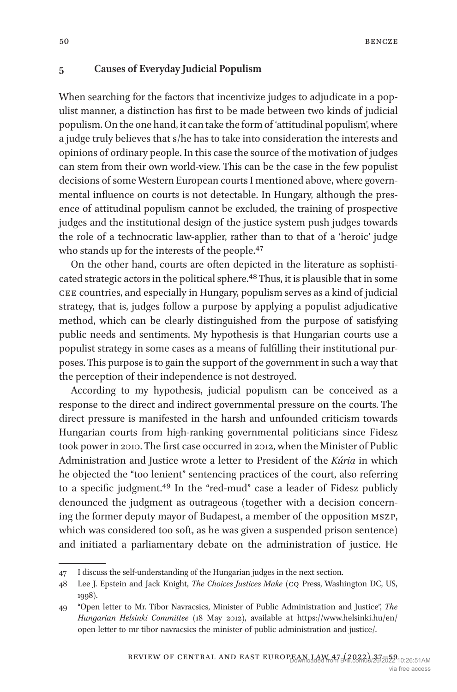#### **5 Causes of Everyday Judicial Populism**

When searching for the factors that incentivize judges to adjudicate in a populist manner, a distinction has first to be made between two kinds of judicial populism. On the one hand, it can take the form of 'attitudinal populism', where a judge truly believes that s/he has to take into consideration the interests and opinions of ordinary people. In this case the source of the motivation of judges can stem from their own world-view. This can be the case in the few populist decisions of some Western European courts I mentioned above, where governmental influence on courts is not detectable. In Hungary, although the presence of attitudinal populism cannot be excluded, the training of prospective judges and the institutional design of the justice system push judges towards the role of a technocratic law-applier, rather than to that of a 'heroic' judge who stands up for the interests of the people.<sup>[47](#page-13-0)</sup>

On the other hand, courts are often depicted in the literature as sophisticated strategic actors in the political sphere.<sup>48</sup> Thus, it is plausible that in some cee countries, and especially in Hungary, populism serves as a kind of judicial strategy, that is, judges follow a purpose by applying a populist adjudicative method, which can be clearly distinguished from the purpose of satisfying public needs and sentiments. My hypothesis is that Hungarian courts use a populist strategy in some cases as a means of fulfilling their institutional purposes. This purpose is to gain the support of the government in such a way that the perception of their independence is not destroyed.

According to my hypothesis, judicial populism can be conceived as a response to the direct and indirect governmental pressure on the courts. The direct pressure is manifested in the harsh and unfounded criticism towards Hungarian courts from high-ranking governmental politicians since Fidesz took power in 2010. The first case occurred in 2012, when the Minister of Public Administration and Justice wrote a letter to President of the *Kúria* in which he objected the "too lenient" sentencing practices of the court, also referring to a specific judgment[.49](#page-13-2) In the "red-mud" case a leader of Fidesz publicly denounced the judgment as outrageous (together with a decision concerning the former deputy mayor of Budapest, a member of the opposition mszp, which was considered too soft, as he was given a suspended prison sentence) and initiated a parliamentary debate on the administration of justice. He

<span id="page-13-0"></span><sup>47</sup> I discuss the self-understanding of the Hungarian judges in the next section.

<span id="page-13-1"></span><sup>48</sup> Lee J. Epstein and Jack Knight, *The Choices Justices Make* (cq Press, Washington DC, US, 1998).

<span id="page-13-2"></span><sup>49</sup> "Open letter to Mr. Tibor Navracsics, Minister of Public Administration and Justice", *The Hungarian Helsinki Committee* (18 May 2012), available at [https://www.helsinki.hu/en/](https://www.helsinki.hu/en/open-letter-to-mr-tibor-navracsics-the-minister-of-public-administration-and-justice/) [open-letter-to-mr-tibor-navracsics-the-minister-of-public-administration-and-justice/.](https://www.helsinki.hu/en/open-letter-to-mr-tibor-navracsics-the-minister-of-public-administration-and-justice/)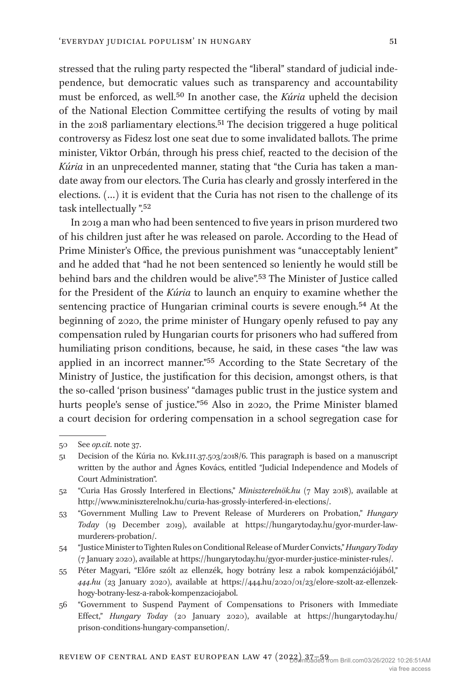stressed that the ruling party respected the "liberal" standard of judicial independence, but democratic values such as transparency and accountability must be enforced, as well[.50](#page-14-0) In another case, the *Kúria* upheld the decision of the National Election Committee certifying the results of voting by mail in the 2018 parliamentary elections[.51](#page-14-1) The decision triggered a huge political controversy as Fidesz lost one seat due to some invalidated ballots. The prime minister, Viktor Orbán, through his press chief, reacted to the decision of the *Kúria* in an unprecedented manner, stating that "the Curia has taken a mandate away from our electors. The Curia has clearly and grossly interfered in the elections. (…) it is evident that the Curia has not risen to the challenge of its task intellectually ".[52](#page-14-2)

In 2019 a man who had been sentenced to five years in prison murdered two of his children just after he was released on parole. According to the Head of Prime Minister's Office, the previous punishment was "unacceptably lenient" and he added that "had he not been sentenced so leniently he would still be behind bars and the children would be alive"[.53](#page-14-3) The Minister of Justice called for the President of the *Kúria* to launch an enquiry to examine whether the sentencing practice of Hungarian criminal courts is severe enough.<sup>54</sup> At the beginning of 2020, the prime minister of Hungary openly refused to pay any compensation ruled by Hungarian courts for prisoners who had suffered from humiliating prison conditions, because, he said, in these cases "the law was applied in an incorrect manner.["55](#page-14-5) According to the State Secretary of the Ministry of Justice, the justification for this decision, amongst others, is that the so-called 'prison business' "damages public trust in the justice system and hurts people's sense of justice.["56](#page-14-6) Also in 2020, the Prime Minister blamed a court decision for ordering compensation in a school segregation case for

<span id="page-14-0"></span><sup>50</sup> See *op.cit*. note 37.

<span id="page-14-1"></span><sup>51</sup> Decision of the Kúria no. Kvk.iii.37.503/2018/6. This paragraph is based on a manuscript written by the author and Ágnes Kovács, entitled "Judicial Independence and Models of Court Administration".

<span id="page-14-2"></span><sup>52</sup> "Curia Has Grossly Interfered in Elections," *Miniszterelnök.hu* (7 May 2018), available at [http://www.miniszterelnok.hu/curia-has-grossly-interfered-in-elections/.](http://www.miniszterelnok.hu/curia-has-grossly-interfered-in-elections/)

<span id="page-14-3"></span><sup>53</sup> "Government Mulling Law to Prevent Release of Murderers on Probation," *Hungary Today* (19 December 2019), available at [https://hungarytoday.hu/gyor-murder-law](https://hungarytoday.hu/gyor-murder-law-murderers-probation/)[murderers-probation/.](https://hungarytoday.hu/gyor-murder-law-murderers-probation/)

<span id="page-14-4"></span><sup>54</sup> "Justice Minister to Tighten Rules on Conditional Release of Murder Convicts," *Hungary Today* (7 January 2020), available at [https://hungarytoday.hu/gyor-murder-justice-minister-rules/.](https://hungarytoday.hu/gyor-murder-justice-minister-rules/)

<span id="page-14-5"></span><sup>55</sup> Péter Magyari, "Előre szólt az ellenzék, hogy botrány lesz a rabok kompenzációjából," *444.hu* (23 January 2020), available at [https://444.hu/2020/01/23/elore-szolt-az-ellenzek](https://444.hu/2020/01/23/elore-szolt-az-ellenzek-hogy-botrany-lesz-a-rabok-kompenzaciojabol)[hogy-botrany-lesz-a-rabok-kompenzaciojabol](https://444.hu/2020/01/23/elore-szolt-az-ellenzek-hogy-botrany-lesz-a-rabok-kompenzaciojabol).

<span id="page-14-6"></span><sup>56</sup> "Government to Suspend Payment of Compensations to Prisoners with Immediate Effect," *Hungary Today* (20 January 2020), available at [https://hungarytoday.hu/](https://hungarytoday.hu/prison-conditions-hungary-compansetion/) [prison-conditions-hungary-compansetion/.](https://hungarytoday.hu/prison-conditions-hungary-compansetion/)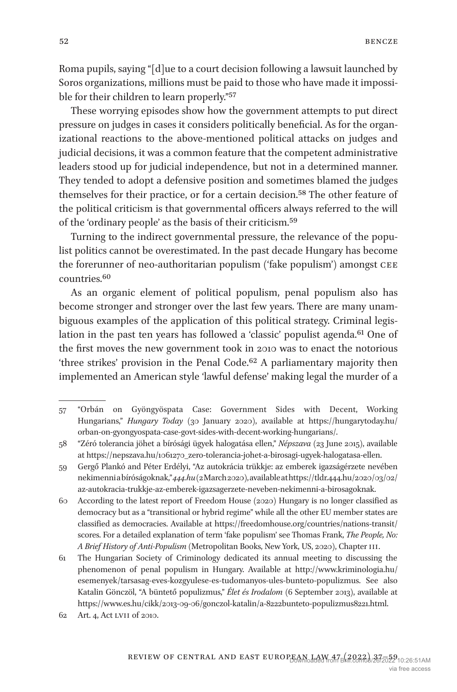Roma pupils, saying "[d]ue to a court decision following a lawsuit launched by Soros organizations, millions must be paid to those who have made it impossible for their children to learn properly.["57](#page-15-0)

These worrying episodes show how the government attempts to put direct pressure on judges in cases it considers politically beneficial. As for the organizational reactions to the above-mentioned political attacks on judges and judicial decisions, it was a common feature that the competent administrative leaders stood up for judicial independence, but not in a determined manner. They tended to adopt a defensive position and sometimes blamed the judges themselves for their practice, or for a certain decision.[58](#page-15-1) The other feature of the political criticism is that governmental officers always referred to the will of the 'ordinary people' as the basis of their criticism[.59](#page-15-2)

Turning to the indirect governmental pressure, the relevance of the populist politics cannot be overestimated. In the past decade Hungary has become the forerunner of neo-authoritarian populism ('fake populism') amongst cee countries[.60](#page-15-3)

As an organic element of political populism, penal populism also has become stronger and stronger over the last few years. There are many unambiguous examples of the application of this political strategy. Criminal legislation in the past ten years has followed a 'classic' populist agenda.<sup>61</sup> One of the first moves the new government took in 2010 was to enact the notorious 'three strikes' provision in the Penal Code.<sup>62</sup> A parliamentary majority then implemented an American style 'lawful defense' making legal the murder of a

<span id="page-15-0"></span><sup>57</sup> "Orbán on Gyöngyöspata Case: Government Sides with Decent, Working Hungarians," *Hungary Today* (30 January 2020), available at [https://hungarytoday.hu/](https://hungarytoday.hu/orban-on-gyongyospata-case-govt-sides-with-decent-working-hungarians/) [orban-on-gyongyospata-case-govt-sides-with-decent-working-hungarians/](https://hungarytoday.hu/orban-on-gyongyospata-case-govt-sides-with-decent-working-hungarians/).

<span id="page-15-1"></span><sup>58</sup> "Zéró tolerancia jöhet a bírósági ügyek halogatása ellen," *Népszava* (23 June 2015), available at [https://nepszava.hu/1061270\\_zero-tolerancia-johet-a-birosagi-ugyek-halogatasa-ellen.](https://nepszava.hu/1061270_zero-tolerancia-johet-a-birosagi-ugyek-halogatasa-ellen)

<span id="page-15-2"></span><sup>59</sup> Gergő Plankó and Péter Erdélyi, "Az autokrácia trükkje: az emberek igazságérzete nevében nekimenni a bíróságoknak," *444.hu* (2 March 2020), available at [https://tldr.444.hu/2020/03/02/](https://tldr.444.hu/2020/03/02/az-autokracia-trukkje-az-emberek-igazsagerzete-neveben-nekimenni-a-birosagoknak) [az-autokracia-trukkje-az-emberek-igazsagerzete-neveben-nekimenni-a-birosagoknak](https://tldr.444.hu/2020/03/02/az-autokracia-trukkje-az-emberek-igazsagerzete-neveben-nekimenni-a-birosagoknak).

<span id="page-15-3"></span><sup>60</sup> According to the latest report of Freedom House (2020) Hungary is no longer classified as democracy but as a "transitional or hybrid regime" while all the other EU member states are classified as democracies. Available at [https://freedomhouse.org/countries/nations-transit/](https://freedomhouse.org/countries/nations-transit/scores) [scores](https://freedomhouse.org/countries/nations-transit/scores). For a detailed explanation of term 'fake populism' see Thomas Frank, *The People, No: A Brief History of Anti-Populism* (Metropolitan Books, New York, US, 2020), Chapter iii.

<span id="page-15-4"></span><sup>61</sup> The Hungarian Society of Criminology dedicated its annual meeting to discussing the phenomenon of penal populism in Hungary. Available at [http://www.kriminologia.hu/](http://www.kriminologia.hu/esemenyek/tarsasag-eves-kozgyulese-es-tudomanyos-ules-bunteto-populizmus) [esemenyek/tarsasag-eves-kozgyulese-es-tudomanyos-ules-bunteto-populizmus](http://www.kriminologia.hu/esemenyek/tarsasag-eves-kozgyulese-es-tudomanyos-ules-bunteto-populizmus). See also Katalin Gönczöl, "A büntető populizmus," *Élet és Irodalom* (6 September 2013), available at <https://www.es.hu/cikk/2013-09-06/gonczol-katalin/a-8222bunteto-populizmus8221.html>.

<span id="page-15-5"></span><sup>62</sup> Art. 4, Act lvii of 2010.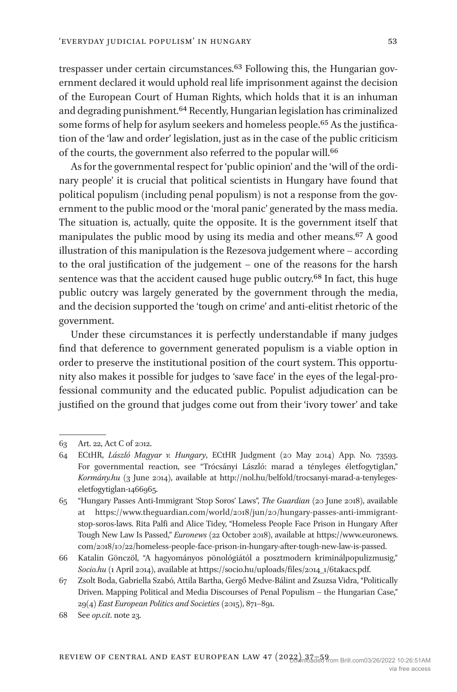trespasser under certain circumstances[.63](#page-16-0) Following this, the Hungarian government declared it would uphold real life imprisonment against the decision of the European Court of Human Rights, which holds that it is an inhuman and degrading punishment[.64](#page-16-1) Recently, Hungarian legislation has criminalized some forms of help for asylum seekers and homeless people[.65](#page-16-2) As the justification of the 'law and order' legislation, just as in the case of the public criticism of the courts, the government also referred to the popular will.<sup>66</sup>

As for the governmental respect for 'public opinion' and the 'will of the ordinary people' it is crucial that political scientists in Hungary have found that political populism (including penal populism) is not a response from the government to the public mood or the 'moral panic' generated by the mass media. The situation is, actually, quite the opposite. It is the government itself that manipulates the public mood by using its media and other means.[67](#page-16-4) A good illustration of this manipulation is the Rezesova judgement where – according to the oral justification of the judgement – one of the reasons for the harsh sentence was that the accident caused huge public outcry.<sup>68</sup> In fact, this huge public outcry was largely generated by the government through the media, and the decision supported the 'tough on crime' and anti-elitist rhetoric of the government.

Under these circumstances it is perfectly understandable if many judges find that deference to government generated populism is a viable option in order to preserve the institutional position of the court system. This opportunity also makes it possible for judges to 'save face' in the eyes of the legal-professional community and the educated public. Populist adjudication can be justified on the ground that judges come out from their 'ivory tower' and take

<span id="page-16-0"></span><sup>63</sup> Art. 22, Act C of 2012.

<span id="page-16-1"></span><sup>64</sup> ECtHR, *László Magyar v. Hungary*, ECtHR Judgment (20 May 2014) App. No. 73593. For governmental reaction, see "Trócsányi László: marad a tényleges életfogytiglan," *Kormány.hu* (3 June 2014), available at [http://nol.hu/belfold/trocsanyi-marad-a-tenyleges](http://nol.hu/belfold/trocsanyi-marad-a-tenyleges-eletfogytiglan-1466965)[eletfogytiglan-1466965](http://nol.hu/belfold/trocsanyi-marad-a-tenyleges-eletfogytiglan-1466965).

<span id="page-16-2"></span><sup>65</sup> "Hungary Passes Anti-Immigrant 'Stop Soros' Laws", *The Guardian* (20 June 2018), available at [https://www.theguardian.com/world/2018/jun/20/hungary-passes-anti-immigrant](https://www.theguardian.com/world/2018/jun/20/hungary-passes-anti-immigrant-stop-soros-laws)[stop-soros-laws.](https://www.theguardian.com/world/2018/jun/20/hungary-passes-anti-immigrant-stop-soros-laws) Rita Palfi and Alice Tidey, "Homeless People Face Prison in Hungary After Tough New Law Is Passed," *Euronews* (22 October 2018), available at [https://www.euronews.](https://www.euronews.com/2018/10/22/homeless-people-face-prison-in-hungary-after-tough-new-law-is-passed) [com/2018/10/22/homeless-people-face-prison-in-hungary-after-tough-new-law-is-passed.](https://www.euronews.com/2018/10/22/homeless-people-face-prison-in-hungary-after-tough-new-law-is-passed)

<span id="page-16-3"></span><sup>66</sup> Katalin Gönczöl, "A hagyományos pönológiától a posztmodern kriminálpopulizmusig," *Socio.hu* (1 April 2014), available at [https://socio.hu/uploads/files/2014\\_1/6takacs.pdf](https://socio.hu/uploads/files/2014_1/6takacs.pdf).

<span id="page-16-4"></span><sup>67</sup> Zsolt Boda, Gabriella Szabó, Attila Bartha, Gergő Medve-Bálint and Zsuzsa Vidra, "Politically Driven. Mapping Political and Media Discourses of Penal Populism – the Hungarian Case," 29(4) *East European Politics and Societies* (2015), 871–891.

<span id="page-16-5"></span><sup>68</sup> See *op.cit*. note 23.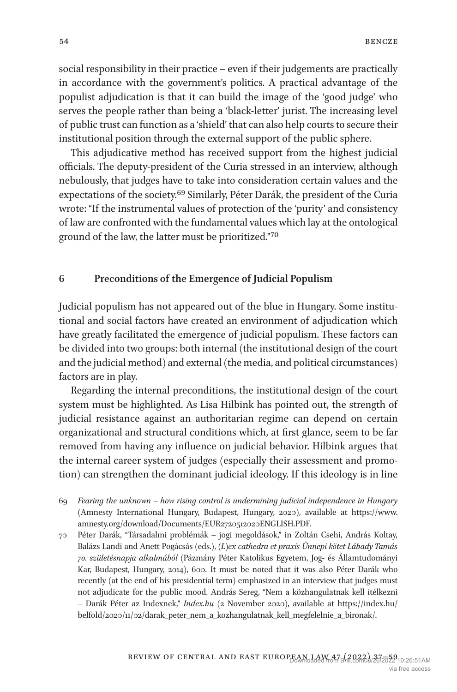social responsibility in their practice – even if their judgements are practically in accordance with the government's politics. A practical advantage of the populist adjudication is that it can build the image of the 'good judge' who serves the people rather than being a 'black-letter' jurist. The increasing level of public trust can function as a 'shield' that can also help courts to secure their institutional position through the external support of the public sphere.

This adjudicative method has received support from the highest judicial officials. The deputy-president of the Curia stressed in an interview, although nebulously, that judges have to take into consideration certain values and the expectations of the society[.69](#page-17-0) Similarly, Péter Darák, the president of the Curia wrote: "If the instrumental values of protection of the 'purity' and consistency of law are confronted with the fundamental values which lay at the ontological ground of the law, the latter must be prioritized.["70](#page-17-1)

## **6 Preconditions of the Emergence of Judicial Populism**

Judicial populism has not appeared out of the blue in Hungary. Some institutional and social factors have created an environment of adjudication which have greatly facilitated the emergence of judicial populism. These factors can be divided into two groups: both internal (the institutional design of the court and the judicial method) and external (the media, and political circumstances) factors are in play.

Regarding the internal preconditions, the institutional design of the court system must be highlighted. As Lisa Hilbink has pointed out, the strength of judicial resistance against an authoritarian regime can depend on certain organizational and structural conditions which, at first glance, seem to be far removed from having any influence on judicial behavior. Hilbink argues that the internal career system of judges (especially their assessment and promotion) can strengthen the dominant judicial ideology. If this ideology is in line

<span id="page-17-0"></span><sup>69</sup> *Fearing the unknown – how rising control is undermining judicial independence in Hungary* (Amnesty International Hungary, Budapest, Hungary, 2020), available at [https://www.](https://www.amnesty.org/download/Documents/EUR2720512020ENGLISH.PDF) [amnesty.org/download/Documents/EUR2720512020ENGLISH.PDF](https://www.amnesty.org/download/Documents/EUR2720512020ENGLISH.PDF).

<span id="page-17-1"></span><sup>70</sup> Péter Darák, "Társadalmi problémák – jogi megoldások," in Zoltán Csehi, András Koltay, Balázs Landi and Anett Pogácsás (eds.), *(L)ex cathedra et praxis Ünnepi kötet Lábady Tamás 70. születésnapja alkalmából* (Pázmány Péter Katolikus Egyetem, Jog- és Államtudományi Kar, Budapest, Hungary, 2014), 600. It must be noted that it was also Péter Darák who recently (at the end of his presidential term) emphasized in an interview that judges must not adjudicate for the public mood. András Sereg, "Nem a közhangulatnak kell ítélkezni – Darák Péter az Indexnek," *Index.hu* (2 November 2020), available at [https://index.hu/](https://index.hu/belfold/2020/11/02/darak_peter_nem_a_kozhangulatnak_kell_megfelelnie_a_bironak/) [belfold/2020/11/02/darak\\_peter\\_nem\\_a\\_kozhangulatnak\\_kell\\_megfelelnie\\_a\\_bironak/.](https://index.hu/belfold/2020/11/02/darak_peter_nem_a_kozhangulatnak_kell_megfelelnie_a_bironak/)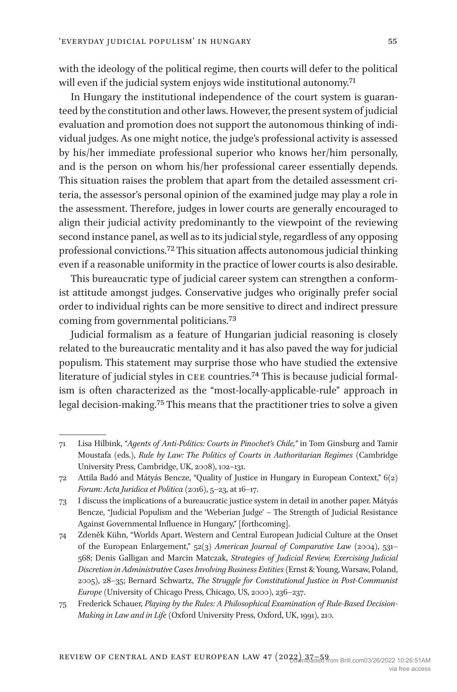with the ideology of the political regime, then courts will defer to the political will even if the judicial system enjoys wide institutional autonomy.<sup>[71](#page-18-0)</sup>

In Hungary the institutional independence of the court system is guaranteed by the constitution and other laws. However, the present system of judicial evaluation and promotion does not support the autonomous thinking of individual judges. As one might notice, the judge's professional activity is assessed by his/her immediate professional superior who knows her/him personally, and is the person on whom his/her professional career essentially depends. This situation raises the problem that apart from the detailed assessment criteria, the assessor's personal opinion of the examined judge may play a role in the assessment. Therefore, judges in lower courts are generally encouraged to align their judicial activity predominantly to the viewpoint of the reviewing second instance panel, as well as to its judicial style, regardless of any opposing professional convictions.[72](#page-18-1) This situation affects autonomous judicial thinking even if a reasonable uniformity in the practice of lower courts is also desirable.

This bureaucratic type of judicial career system can strengthen a conformist attitude amongst judges. Conservative judges who originally prefer social order to individual rights can be more sensitive to direct and indirect pressure coming from governmental politicians.[73](#page-18-2)

Judicial formalism as a feature of Hungarian judicial reasoning is closely related to the bureaucratic mentality and it has also paved the way for judicial populism. This statement may surprise those who have studied the extensive literature of judicial styles in cee countries.[74](#page-18-3) This is because judicial formalism is often characterized as the "most-locally-applicable-rule" approach in legal decision-making.[75](#page-18-4) This means that the practitioner tries to solve a given

<span id="page-18-0"></span><sup>71</sup> Lisa Hilbink, "*Agents of Anti-Politics: Courts in Pinochet's Chile,"* in Tom Ginsburg and Tamir Moustafa (eds.), *Rule by Law: The Politics of Courts in Authoritarian Regimes* (Cambridge University Press, Cambridge, UK, 2008), 102–131.

<span id="page-18-1"></span><sup>72</sup> Attila Badó and Mátyás Bencze, "Quality of Justice in Hungary in European Context," 6(2) *Forum: Acta Juridica et Politica* (2016), 5–23, at 16–17.

<span id="page-18-2"></span><sup>73</sup> I discuss the implications of a bureaucratic justice system in detail in another paper. Mátyás Bencze, "Judicial Populism and the 'Weberian Judge' – The Strength of Judicial Resistance Against Governmental Influence in Hungary," [forthcoming].

<span id="page-18-3"></span><sup>74</sup> Zdeněk Kühn, "Worlds Apart. Western and Central European Judicial Culture at the Onset of the European Enlargement," 52(3) *American Journal of Comparative Law* (2004), 531– 568; Denis Galligan and Marcin Matczak, *Strategies of Judicial Review, Exercising Judicial Discretion in Administrative Cases Involving Business Entities* (Ernst & Young, Warsaw, Poland, 2005), 28–35; Bernard Schwartz, *The Struggle for Constitutional Justice in Post-Communist Europe* (University of Chicago Press, Chicago, US, 2000), 236–237.

<span id="page-18-4"></span><sup>75</sup> Frederick Schauer, *Playing by the Rules: A Philosophical Examination of Rule-Based Decision-Making in Law and in Life* (Oxford University Press, Oxford, UK, 1991), 210.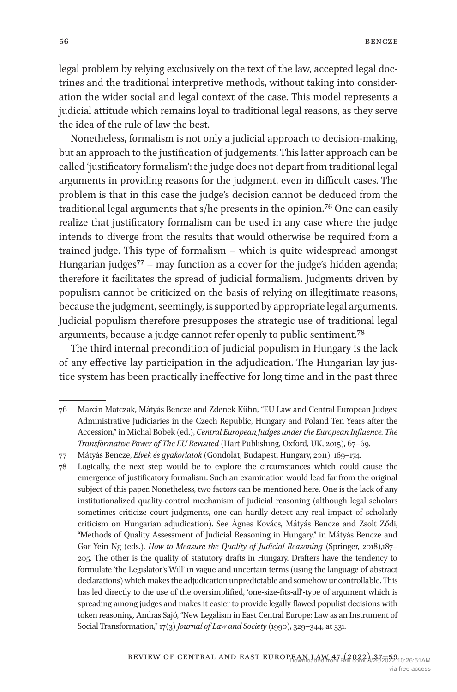legal problem by relying exclusively on the text of the law, accepted legal doctrines and the traditional interpretive methods, without taking into consideration the wider social and legal context of the case. This model represents a judicial attitude which remains loyal to traditional legal reasons, as they serve the idea of the rule of law the best.

Nonetheless, formalism is not only a judicial approach to decision-making, but an approach to the justification of judgements. This latter approach can be called 'justificatory formalism': the judge does not depart from traditional legal arguments in providing reasons for the judgment, even in difficult cases. The problem is that in this case the judge's decision cannot be deduced from the traditional legal arguments that s/he presents in the opinion.[76](#page-19-0) One can easily realize that justificatory formalism can be used in any case where the judge intends to diverge from the results that would otherwise be required from a trained judge. This type of formalism – which is quite widespread amongst Hungarian judges<sup>77</sup> – may function as a cover for the judge's hidden agenda; therefore it facilitates the spread of judicial formalism. Judgments driven by populism cannot be criticized on the basis of relying on illegitimate reasons, because the judgment, seemingly, is supported by appropriate legal arguments. Judicial populism therefore presupposes the strategic use of traditional legal arguments, because a judge cannot refer openly to public sentiment[.78](#page-19-2)

The third internal precondition of judicial populism in Hungary is the lack of any effective lay participation in the adjudication. The Hungarian lay justice system has been practically ineffective for long time and in the past three

<span id="page-19-0"></span><sup>76</sup> Marcin Matczak, Mátyás Bencze and Zdenek Kühn, "EU Law and Central European Judges: Administrative Judiciaries in the Czech Republic, Hungary and Poland Ten Years after the Accession," in Michal Bobek (ed.), *Central European Judges under the European Influence. The Transformative Power of The EU Revisited* (Hart Publishing, Oxford, UK, 2015), 67–69.

<span id="page-19-1"></span><sup>77</sup> Mátyás Bencze, *Elvek és gyakorlatok* (Gondolat, Budapest, Hungary, 2011), 169–174.

<span id="page-19-2"></span><sup>78</sup> Logically, the next step would be to explore the circumstances which could cause the emergence of justificatory formalism. Such an examination would lead far from the original subject of this paper. Nonetheless, two factors can be mentioned here. One is the lack of any institutionalized quality-control mechanism of judicial reasoning (although legal scholars sometimes criticize court judgments, one can hardly detect any real impact of scholarly criticism on Hungarian adjudication). See Ágnes Kovács, Mátyás Bencze and Zsolt Ződi, "Methods of Quality Assessment of Judicial Reasoning in Hungary," in Mátyás Bencze and Gar Yein Ng (eds.), *How to Measure the Quality of Judicial Reasoning* (Springer, 2018),187– 205. The other is the quality of statutory drafts in Hungary. Drafters have the tendency to formulate 'the Legislator's Will' in vague and uncertain terms (using the language of abstract declarations) which makes the adjudication unpredictable and somehow uncontrollable. This has led directly to the use of the oversimplified, 'one-size-fits-all'-type of argument which is spreading among judges and makes it easier to provide legally flawed populist decisions with token reasoning. Andras Sajó, "New Legalism in East Central Europe: Law as an Instrument of Social Transformation," 17(3) *Journal of Law and Society* (1990), 329–344, at 331.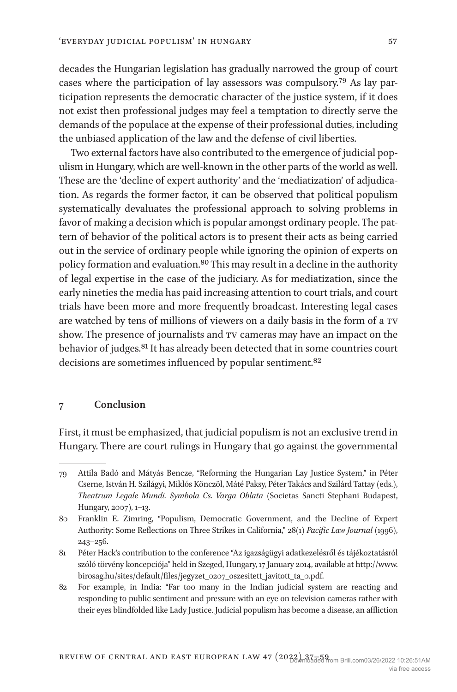decades the Hungarian legislation has gradually narrowed the group of court cases where the participation of lay assessors was compulsory.[79](#page-20-0) As lay participation represents the democratic character of the justice system, if it does not exist then professional judges may feel a temptation to directly serve the demands of the populace at the expense of their professional duties, including the unbiased application of the law and the defense of civil liberties.

Two external factors have also contributed to the emergence of judicial populism in Hungary, which are well-known in the other parts of the world as well. These are the 'decline of expert authority' and the 'mediatization' of adjudication. As regards the former factor, it can be observed that political populism systematically devaluates the professional approach to solving problems in favor of making a decision which is popular amongst ordinary people. The pattern of behavior of the political actors is to present their acts as being carried out in the service of ordinary people while ignoring the opinion of experts on policy formation and evaluation.[80](#page-20-1) This may result in a decline in the authority of legal expertise in the case of the judiciary. As for mediatization, since the early nineties the media has paid increasing attention to court trials, and court trials have been more and more frequently broadcast. Interesting legal cases are watched by tens of millions of viewers on a daily basis in the form of a TV show. The presence of journalists and  $TV$  cameras may have an impact on the behavior of judges.<sup>[81](#page-20-2)</sup> It has already been detected that in some countries court decisions are sometimes influenced by popular sentiment.<sup>82</sup>

## **7 Conclusion**

First, it must be emphasized, that judicial populism is not an exclusive trend in Hungary. There are court rulings in Hungary that go against the governmental

<span id="page-20-0"></span><sup>79</sup> Attila Badó and Mátyás Bencze, "Reforming the Hungarian Lay Justice System," in Péter Cserne, István H. Szilágyi, Miklós Könczöl, Máté Paksy, Péter Takács and Szilárd Tattay (eds.), *Theatrum Legale Mundi. Symbola Cs. Varga Oblata* (Societas Sancti Stephani Budapest, Hungary, 2007), 1–13.

<span id="page-20-1"></span><sup>80</sup> Franklin E. Zimring, "Populism, Democratic Government, and the Decline of Expert Authority: Some Reflections on Three Strikes in California," 28(1) *Pacific Law Journal* (1996), 243–256.

<span id="page-20-2"></span><sup>81</sup> Péter Hack's contribution to the conference "Az igazságügyi adatkezelésről és tájékoztatásról szóló törvény koncepciója" held in Szeged, Hungary, 17 January 2014, available at [http://www.](http://www.birosag.hu/sites/default/files/jegyzet_0207_oszesitett_javitott_ta_0.pdf) [birosag.hu/sites/default/files/jegyzet\\_0207\\_oszesitett\\_javitott\\_ta\\_0.pdf.](http://www.birosag.hu/sites/default/files/jegyzet_0207_oszesitett_javitott_ta_0.pdf)

<span id="page-20-3"></span><sup>82</sup> For example, in India: "Far too many in the Indian judicial system are reacting and responding to public sentiment and pressure with an eye on television cameras rather with their eyes blindfolded like Lady Justice. Judicial populism has become a disease, an affliction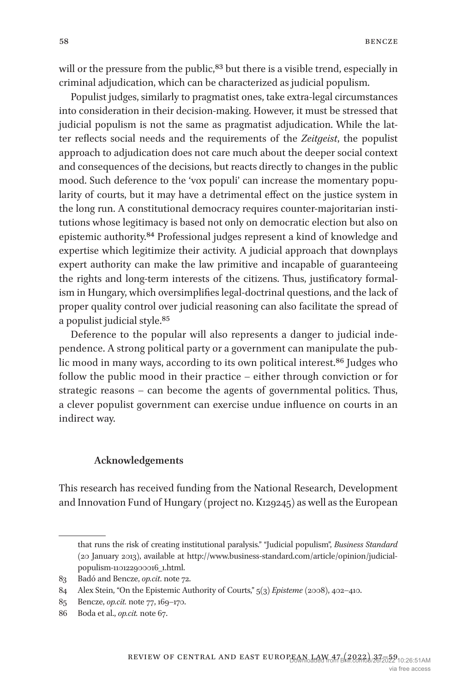will or the pressure from the public,<sup>83</sup> but there is a visible trend, especially in criminal adjudication, which can be characterized as judicial populism.

Populist judges, similarly to pragmatist ones, take extra-legal circumstances into consideration in their decision-making. However, it must be stressed that judicial populism is not the same as pragmatist adjudication. While the latter reflects social needs and the requirements of the *Zeitgeist*, the populist approach to adjudication does not care much about the deeper social context and consequences of the decisions, but reacts directly to changes in the public mood. Such deference to the 'vox populi' can increase the momentary popularity of courts, but it may have a detrimental effect on the justice system in the long run. A constitutional democracy requires counter-majoritarian institutions whose legitimacy is based not only on democratic election but also on epistemic authority.[84](#page-21-1) Professional judges represent a kind of knowledge and expertise which legitimize their activity. A judicial approach that downplays expert authority can make the law primitive and incapable of guaranteeing the rights and long-term interests of the citizens. Thus, justificatory formalism in Hungary, which oversimplifies legal-doctrinal questions, and the lack of proper quality control over judicial reasoning can also facilitate the spread of a populist judicial style.[85](#page-21-2)

Deference to the popular will also represents a danger to judicial independence. A strong political party or a government can manipulate the public mood in many ways, according to its own political interest.[86](#page-21-3) Judges who follow the public mood in their practice – either through conviction or for strategic reasons – can become the agents of governmental politics. Thus, a clever populist government can exercise undue influence on courts in an indirect way.

#### **Acknowledgements**

This research has received funding from the National Research, Development and Innovation Fund of Hungary (project no. K129245) as well as the European

that runs the risk of creating institutional paralysis." "Judicial populism", *Business Standard* (20 January 2013), available at [http://www.business-standard.com/article/opinion/judicial](http://www.business-standard.com/article/opinion/judicial-populism-110122900016_1.html)[populism-110122900016\\_1.html](http://www.business-standard.com/article/opinion/judicial-populism-110122900016_1.html).

<span id="page-21-0"></span><sup>83</sup> Badó and Bencze, *op.cit*. note 72.

<span id="page-21-1"></span><sup>84</sup> Alex Stein, "On the Epistemic Authority of Courts," 5(3) *Episteme* (2008), 402–410.

<span id="page-21-2"></span><sup>85</sup> Bencze, *op.cit.* note 77, 169–170.

<span id="page-21-3"></span><sup>86</sup> Boda et al., *op.cit.* note 67.